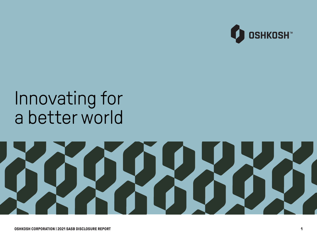

## Innovating for a better world

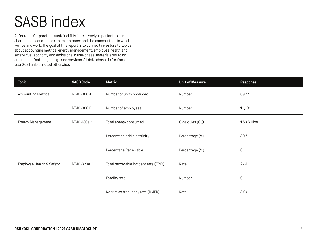## SASB index

At Oshkosh Corporation, sustainability is extremely important to our shareholders, customers, team members and the communities in which we live and work. The goal of this report is to connect investors to topics about accounting metrics, energy management, employee health and safety, fuel economy and emissions in use-phase, materials sourcing and remanufacturing design and services. All data shared is for fiscal year 2021 unless noted otherwise.

| <b>Topic</b>              | <b>SASB Code</b> | Metric                                | <b>Unit of Measure</b> | <b>Response</b> |
|---------------------------|------------------|---------------------------------------|------------------------|-----------------|
| <b>Accounting Metrics</b> | RT-IG-000.A      | Number of units produced              | Number                 | 69,771          |
|                           | RT-IG-000.B      | Number of employees<br>Number         |                        | 14,481          |
| Energy Management         | RT-IG-130a.1     | Total energy consumed                 | Gigajoules (GJ)        | 1.63 Million    |
|                           |                  | Percentage grid electricity           | Percentage (%)         | 30.5            |
|                           |                  | Percentage Renewable                  | Percentage (%)         | $\mathsf 0$     |
| Employee Health & Safety  | RT-IG-320a.1     | Total recordable incident rate (TRIR) | Rate                   | 2.44            |
|                           |                  | Fatality rate                         | Number                 | $\mathsf 0$     |
|                           |                  | Near miss frequency rate (NMFR)       | Rate                   | 8.04            |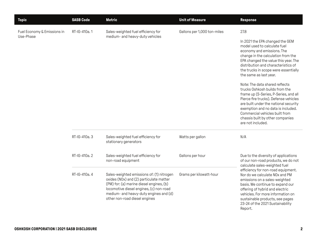| <b>Topic</b>                             | <b>SASB Code</b> | <b>Metric</b>                                                                                                                                                                                                                                          | <b>Unit of Measure</b>      | <b>Response</b>                                                                                                                                                                                                                                                                                                                                                                                                                                                                                                                                                                                                              |
|------------------------------------------|------------------|--------------------------------------------------------------------------------------------------------------------------------------------------------------------------------------------------------------------------------------------------------|-----------------------------|------------------------------------------------------------------------------------------------------------------------------------------------------------------------------------------------------------------------------------------------------------------------------------------------------------------------------------------------------------------------------------------------------------------------------------------------------------------------------------------------------------------------------------------------------------------------------------------------------------------------------|
| Fuel Economy & Emissions in<br>Use-Phase | RT-IG-410a.1     | Sales-weighted fuel efficiency for<br>medium- and heavy-duty vehicles                                                                                                                                                                                  | Gallons per 1,000 ton-miles | 27.8<br>In 2021 the EPA changed the GEM<br>model used to calculate fuel<br>economy and emissions. The<br>change in the calculation from the<br>EPA changed the value this year. The<br>distribution and characteristics of<br>the trucks in scope were essentially<br>the same as last year.<br>Note: The data shared reflects<br>trucks Oshkosh builds from the<br>frame up (S-Series, P-Series, and all<br>Pierce fire trucks). Defense vehicles<br>are built under the national security<br>exemption and no data is included.<br>Commercial vehicles built from<br>chassis built by other companies<br>are not included. |
|                                          | RT-IG-410a. 3    | Sales-weighted fuel efficiency for<br>stationary generators                                                                                                                                                                                            | Watts per gallon            | N/A                                                                                                                                                                                                                                                                                                                                                                                                                                                                                                                                                                                                                          |
|                                          | RT-IG-410a.2     | Sales-weighted fuel efficiency for<br>non-road equipment                                                                                                                                                                                               | Gallons per hour            | Due to the diversity of applications<br>of our non-road products, we do not<br>calculate sales-weighted fuel                                                                                                                                                                                                                                                                                                                                                                                                                                                                                                                 |
|                                          | RT-IG-410a. 4    | Sales-weighted emissions of: (1) nitrogen<br>oxides (NOx) and (2) particulate matter<br>(PM) for: (a) marine diesel engines, (b)<br>locomotive diesel engines, (c) non-road<br>medium- and heavy-duty engines and (d)<br>other non-road diesel engines | Grams per kilowatt-hour     | efficiency for non-road equipment.<br>Nor do we calculate NO <sub>x</sub> and PM<br>emissions on a sales-weighted<br>basis. We continue to expand our<br>offering of hybrid and electric<br>vehicles. For more information on<br>sustainable products, see pages<br>23-24 of the 2021 Sustainability<br>Report.                                                                                                                                                                                                                                                                                                              |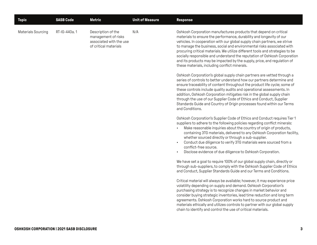| <b>Topic</b>       | <b>SASB Code</b> | <b>Metric</b>                                                                                 | <b>Unit of Measure</b> | <b>Response</b>                                                                                                                                                                                                                                                                                                                                                                                                                                                                                                                                                                                                                                                                                                                                                                                                                                                                                                                                                                                                                                                                                                                                                                                                                                                                                                                                                                                                                                                                                                                                                                                                                                                                                                                                                                                                                                                                                                                            |
|--------------------|------------------|-----------------------------------------------------------------------------------------------|------------------------|--------------------------------------------------------------------------------------------------------------------------------------------------------------------------------------------------------------------------------------------------------------------------------------------------------------------------------------------------------------------------------------------------------------------------------------------------------------------------------------------------------------------------------------------------------------------------------------------------------------------------------------------------------------------------------------------------------------------------------------------------------------------------------------------------------------------------------------------------------------------------------------------------------------------------------------------------------------------------------------------------------------------------------------------------------------------------------------------------------------------------------------------------------------------------------------------------------------------------------------------------------------------------------------------------------------------------------------------------------------------------------------------------------------------------------------------------------------------------------------------------------------------------------------------------------------------------------------------------------------------------------------------------------------------------------------------------------------------------------------------------------------------------------------------------------------------------------------------------------------------------------------------------------------------------------------------|
| Materials Sourcing | RT-IG-440a.1     | Description of the<br>management of risks<br>associated with the use<br>of critical materials | N/A                    | Oshkosh Corporation manufactures products that depend on critical<br>materials to ensure the performance, durability and longevity of our<br>vehicles. In cooperation with our global supply chain partners, we strive<br>to manage the business, social and environmental risks associated with<br>procuring critical materials. We utilize different tools and strategies to be<br>socially responsible and understand the reputation of Oshkosh Corporation<br>and its products may be impacted by the supply, price, and regulation of<br>these materials, including conflict minerals.<br>Oshkosh Corporation's global supply chain partners are vetted through a<br>series of controls to better understand how our partners determine and<br>ensure traceability of content throughout the product life cycle; some of<br>these controls include quality audits and operational assessments. In<br>addition, Oshkosh Corporation mitigates risk in the global supply chain<br>through the use of our Supplier Code of Ethics and Conduct, Supplier<br>Standards Guide and Country of Origin processes found within our Terms<br>and Conditions.<br>Oshkosh Corporation's Supplier Code of Ethics and Conduct requires Tier 1<br>suppliers to adhere to the following policies regarding conflict minerals:<br>Make reasonable inquiries about the country of origin of products,<br>containing 3TG materials, delivered to any Oshkosh Corporation facility,<br>whether sourced directly or through a sub-supplier.<br>Conduct due diligence to verify 3TG materials were sourced from a<br>$\blacksquare$<br>conflict-free source.<br>Disclose evidence of due diligence to Oshkosh Corporation.<br>We have set a goal to require 100% of our global supply chain, directly or<br>through sub-suppliers, to comply with the Oshkosh Supplier Code of Ethics<br>and Conduct, Supplier Standards Guide and our Terms and Conditions. |
|                    |                  |                                                                                               |                        | Critical material will always be available; however, it may experience price                                                                                                                                                                                                                                                                                                                                                                                                                                                                                                                                                                                                                                                                                                                                                                                                                                                                                                                                                                                                                                                                                                                                                                                                                                                                                                                                                                                                                                                                                                                                                                                                                                                                                                                                                                                                                                                               |
|                    |                  |                                                                                               |                        | volatility depending on supply and demand. Oshkosh Corporation's<br>purchasing strategy is to recognize changes in market behavior and<br>consider buying strategic inventories, lead time reduction and long term<br>agreements. Oshkosh Corporation works hard to source product and<br>materials ethically and utilizes controls to partner with our global supply<br>chain to identify and control the use of critical materials.                                                                                                                                                                                                                                                                                                                                                                                                                                                                                                                                                                                                                                                                                                                                                                                                                                                                                                                                                                                                                                                                                                                                                                                                                                                                                                                                                                                                                                                                                                      |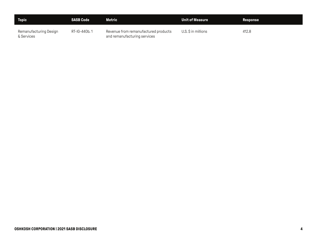| <b>Topic</b>                         | <b>SASB Code</b> | Metric                                                               | <b>Unit of Measure</b> | <b>Response</b> |
|--------------------------------------|------------------|----------------------------------------------------------------------|------------------------|-----------------|
| Remanufacturing Design<br>& Services | RT-IG-440b.1     | Revenue from remanufactured products<br>and remanufacturing services | U.S. \$ in millions    | 412.8           |